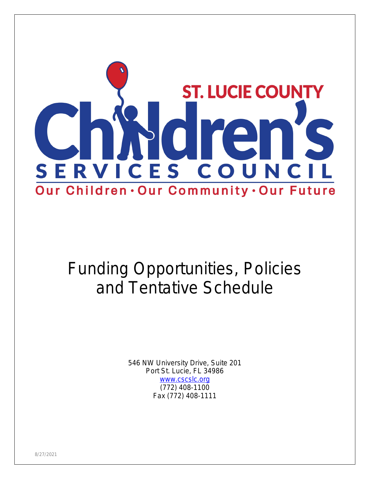

# Funding Opportunities, Policies and Tentative Schedule

546 NW University Drive, Suite 201 Port St. Lucie, FL 34986 [www.cscslc.org](http://www.cscslc.org) (772) 408-1100 Fax (772) 408-1111

8/27/2021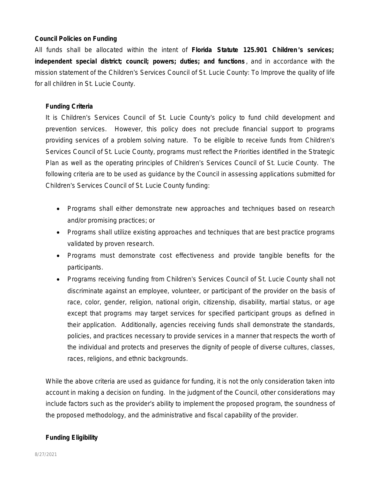#### **Council Policies on Funding**

All funds shall be allocated within the intent of **Florida Statute 125.901 Children** '**s services; independent special district; council; powers; duties; and functions** , and in accordance with the mission statement of the Children's Services Council of St. Lucie County: *To Improve the quality of life for all children in St. Lucie County.* 

#### **Funding Criteria**

It is Children's Services Council of St. Lucie County's policy to fund child development and prevention services. However, this policy does not preclude financial support to programs providing services of a problem solving nature. To be eligible to receive funds from Children's Services Council of St. Lucie County, programs must reflect the Priorities identified in the Strategic Plan as well as the operating principles of Children's Services Council of St. Lucie County. The following criteria are to be used as guidance by the Council in assessing applications submitted for Children's Services Council of St. Lucie County funding:

- Programs shall either demonstrate new approaches and techniques based on research and/or promising practices; or
- Programs shall utilize existing approaches and techniques that are best practice programs validated by proven research.
- Programs must demonstrate cost effectiveness and provide tangible benefits for the participants.
- Programs receiving funding from Children's Services Council of St. Lucie County shall not discriminate against an employee, volunteer, or participant of the provider on the basis of race, color, gender, religion, national origin, citizenship, disability, martial status, or age except that programs may target services for specified participant groups as defined in their application. Additionally, agencies receiving funds shall demonstrate the standards, policies, and practices necessary to provide services in a manner that respects the worth of the individual and protects and preserves the dignity of people of diverse cultures, classes, races, religions, and ethnic backgrounds.

While the above criteria are used as guidance for funding, it is not the only consideration taken into account in making a decision on funding. In the judgment of the Council, other considerations may include factors such as the provider's ability to implement the proposed program, the soundness of the proposed methodology, and the administrative and fiscal capability of the provider.

#### **Funding Eligibility**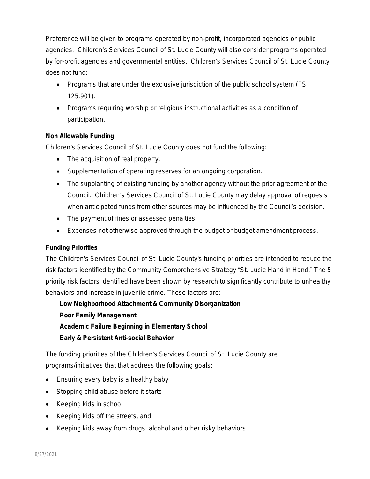Preference will be given to programs operated by non-profit, incorporated agencies or public agencies. Children's Services Council of St. Lucie County will also consider programs operated by for-profit agencies and governmental entities. Children's Services Council of St. Lucie County does not fund:

- Programs that are under the exclusive jurisdiction of the public school system (FS 125.901).
- Programs requiring worship or religious instructional activities as a condition of participation.

## **Non Allowable Funding**

Children's Services Council of St. Lucie County does not fund the following:

- The acquisition of real property.
- Supplementation of operating reserves for an ongoing corporation.
- The supplanting of existing funding by another agency without the prior agreement of the Council. Children's Services Council of St. Lucie County may delay approval of requests when anticipated funds from other sources may be influenced by the Council's decision.
- The payment of fines or assessed penalties.
- Expenses not otherwise approved through the budget or budget amendment process.

## **Funding Priorities**

The Children's Services Council of St. Lucie County's funding priorities are intended to reduce the risk factors identified by the Community Comprehensive Strategy "St. Lucie Hand in Hand." The 5 priority risk factors identified have been shown by research to significantly contribute to unhealthy behaviors and increase in juvenile crime. These factors are:

 **Low Neighborhood Attachment & Community Disorganization Poor Family Management Academic Failure Beginning in Elementary School Early & Persistent Anti-social Behavior**

The funding priorities of the Children's Services Council of St. Lucie County are programs/initiatives that that address the following goals:

- Ensuring every baby is a healthy baby
- Stopping child abuse before it starts
- Keeping kids in school
- Keeping kids off the streets, and
- Keeping kids away from drugs, alcohol and other risky behaviors.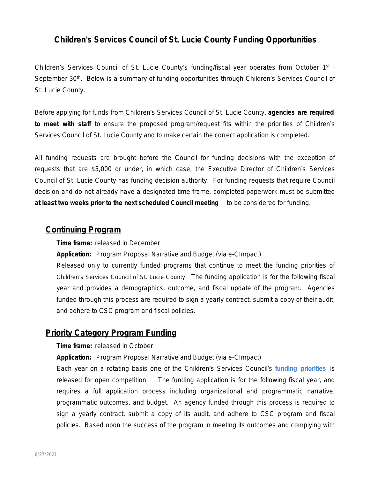# **Children's Services Council of St. Lucie County Funding Opportunities**

Children's Services Council of St. Lucie County's funding/fiscal year operates from October 1<sup>st</sup> -September 30<sup>th</sup>. Below is a summary of funding opportunities through Children's Services Council of St. Lucie County.

Before applying for funds from Children's Services Council of St. Lucie County, **agencies are required to meet with staff** to ensure the proposed program/request fits within the priorities of Children's Services Council of St. Lucie County and to make certain the correct application is completed.

All funding requests are brought before the Council for funding decisions with the exception of requests that are \$5,000 or under, in which case, the Executive Director of Children's Services Council of St. Lucie County has funding decision authority. For funding requests that require Council decision and do not already have a designated time frame, completed paperwork must be submitted **at least two weeks prior to the next scheduled Council meeting** to be considered for funding.

## **Continuing Program**

*Time frame: released in December*

*Application: Program Proposal Narrative and Budget (via e-CImpact)*

Released only to currently funded programs that continue to meet the funding priorities of Children's Services Council of St. Lucie County. The funding application is for the following fiscal year and provides a demographics, outcome, and fiscal update of the program. Agencies funded through this process are required to sign a yearly contract, submit a copy of their audit, and adhere to CSC program and fiscal policies.

## **Priority Category Program Funding**

#### *Time frame: released in October*

*Application: Program Proposal Narrative and Budget (via e-CImpact)*

Each year on a rotating basis one of the Children's Services Council's **funding priorities** is released for open competition. The funding application is for the following fiscal year, and requires a full application process including organizational and programmatic narrative, programmatic outcomes, and budget. An agency funded through this process is required to sign a yearly contract, submit a copy of its audit, and adhere to CSC program and fiscal policies. Based upon the success of the program in meeting its outcomes and complying with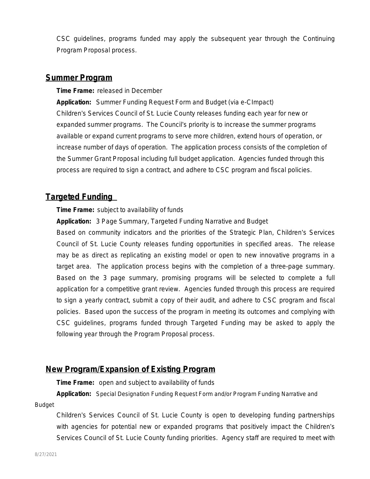CSC guidelines, programs funded may apply the subsequent year through the Continuing Program Proposal process.

## **Summer Program**

*Time Frame: released in December*

*Application: Summer Funding Request Form and Budget (via e-CImpact)* Children's Services Council of St. Lucie County releases funding each year for new or expanded summer programs. The Council's priority is to increase the summer programs available or expand current programs to serve more children, extend hours of operation, or increase number of days of operation. The application process consists of the completion of the Summer Grant Proposal including full budget application. Agencies funded through this process are required to sign a contract, and adhere to CSC program and fiscal policies.

# **Targeted Funding**

*Time Frame: subject to availability of funds*

*Application: 3 Page Summary, Targeted Funding Narrative and Budget*

Based on community indicators and the priorities of the Strategic Plan, Children's Services Council of St. Lucie County releases funding opportunities in specified areas. The release may be as direct as replicating an existing model or open to new innovative programs in a target area. The application process begins with the completion of a three-page summary. Based on the 3 page summary, promising programs will be selected to complete a full application for a competitive grant review. Agencies funded through this process are required to sign a yearly contract, submit a copy of their audit, and adhere to CSC program and fiscal policies. Based upon the success of the program in meeting its outcomes and complying with CSC guidelines, programs funded through Targeted Funding may be asked to apply the following year through the Program Proposal process.

## **New Program/Expansion of Existing Program**

*Time Frame: open and subject to availability of funds*

*Application: Special Designation Funding Request Form and/or Program Funding Narrative and* 

*Budget*

Children's Services Council of St. Lucie County is open to developing funding partnerships with agencies for potential new or expanded programs that positively impact the Children's Services Council of St. Lucie County funding priorities. Agency staff are required to meet with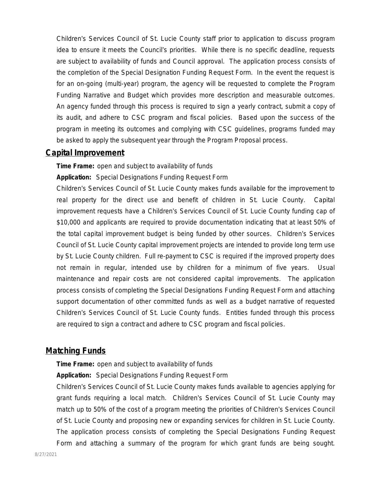Children's Services Council of St. Lucie County staff prior to application to discuss program idea to ensure it meets the Council's priorities. While there is no specific deadline, requests are subject to availability of funds and Council approval. The application process consists of the completion of the Special Designation Funding Request Form. In the event the request is for an on-going (multi-year) program, the agency will be requested to complete the Program Funding Narrative and Budget which provides more description and measurable outcomes. An agency funded through this process is required to sign a yearly contract, submit a copy of its audit, and adhere to CSC program and fiscal policies. Based upon the success of the program in meeting its outcomes and complying with CSC guidelines, programs funded may be asked to apply the subsequent year through the Program Proposal process.

## **Capital Improvement**

*Time Frame: open and subject to availability of funds*

*Application: Special Designations Funding Request Form*

Children's Services Council of St. Lucie County makes funds available for the improvement to real property for the direct use and benefit of children in St. Lucie County. Capital improvement requests have a Children's Services Council of St. Lucie County funding cap of \$10,000 and applicants are required to provide documentation indicating that at least 50% of the total capital improvement budget is being funded by other sources. Children's Services Council of St. Lucie County capital improvement projects are intended to provide long term use by St. Lucie County children. Full re-payment to CSC is required if the improved property does not remain in regular, intended use by children for a minimum of five years. Usual maintenance and repair costs are not considered capital improvements. The application process consists of completing the Special Designations Funding Request Form and attaching support documentation of other committed funds as well as a budget narrative of requested Children's Services Council of St. Lucie County funds. Entities funded through this process are required to sign a contract and adhere to CSC program and fiscal policies.

# **Matching Funds**

*Time Frame: open and subject to availability of funds*

*Application: Special Designations Funding Request Form*

Children's Services Council of St. Lucie County makes funds available to agencies applying for grant funds requiring a local match. Children's Services Council of St. Lucie County may match up to 50% of the cost of a program meeting the priorities of Children's Services Council of St. Lucie County and proposing new or expanding services for children in St. Lucie County. The application process consists of completing the Special Designations Funding Request Form and attaching a summary of the program for which grant funds are being sought.